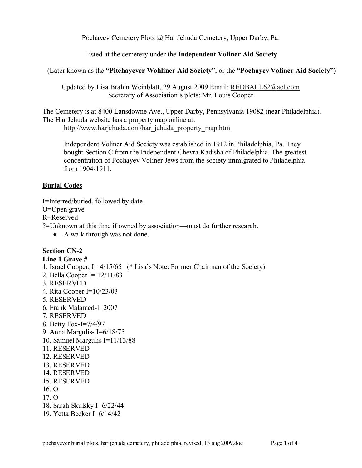Pochayev Cemetery Plots @ Har Jehuda Cemetery, Upper Darby, Pa.

Listed at the cemetery under the Independent Voliner Aid Society

(Later known as the "Pitchayever Wohliner Aid Society", or the "Pochayev Voliner Aid Society")

Updated by Lisa Brahin Weinblatt, 29 August 2009 Email: REDBALL62@aol.com Secretary of Association's plots: Mr. Louis Cooper

The Cemetery is at 8400 Lansdowne Ave., Upper Darby, Pennsylvania 19082 (near Philadelphia). The Har Jehuda website has a property map online at:

http://www.harjehuda.com/har\_juhuda\_property\_map.htm

Independent Voliner Aid Society was established in 1912 in Philadelphia, Pa. They bought Section C from the Independent Chevra Kadisha of Philadelphia. The greatest concentration of Pochayev Voliner Jews from the society immigrated to Philadelphia from 1904-1911.

# Burial Codes

I=Interred/buried, followed by date

O=Open grave

R=Reserved

?=Unknown at this time if owned by association—must do further research.

• A walk through was not done.

# Section CN-2

Line 1 Grave #

- 1. Israel Cooper, I= 4/15/65 (\* Lisa's Note: Former Chairman of the Society)
- 2. Bella Cooper I= 12/11/83
- 3. RESERVED
- 4. Rita Cooper I=10/23/03
- 5. RESERVED
- 6. Frank Malamed-I=2007
- 7. RESERVED
- 8. Betty Fox-I=7/4/97
- 9. Anna Margulis- I=6/18/75
- 10. Samuel Margulis I=11/13/88
- 11. RESERVED
- 12. RESERVED
- 13. RESERVED
- 14. RESERVED
- 15. RESERVED
- 16. O
- 17. O

18. Sarah Skulsky I=6/22/44

19. Yetta Becker I=6/14/42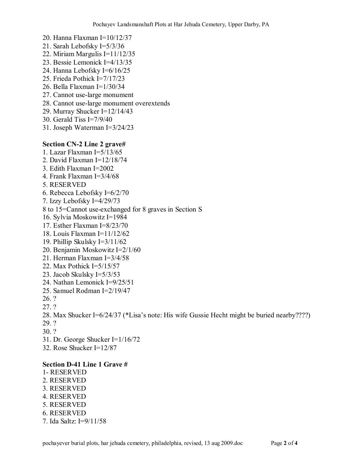- 20. Hanna Flaxman I=10/12/37
- 21. Sarah Lebofsky I=5/3/36
- 22. Miriam Margulis I=11/12/35
- 23. Bessie Lemonick I=4/13/35
- 24. Hanna Lebofsky I=6/16/25
- 25. Frieda Pothick I=7/17/23
- 26. Bella Flaxman I=1/30/34
- 27. Cannot use-large monument
- 28. Cannot use-large monument overextends
- 29. Murray Shucker I=12/14/43
- 30. Gerald Tiss I=7/9/40
- 31. Joseph Waterman I=3/24/23

## Section CN-2 Line 2 grave#

- 1. Lazar Flaxman I=5/13/65
- 2. David Flaxman I=12/18/74
- 3. Edith Flaxman I=2002
- 4. Frank Flaxman I=3/4/68
- 5. RESERVED
- 6. Rebecca Lebofsky I=6/2/70
- 7. Izzy Lebofsky I=4/29/73
- 8 to 15=Cannot use-exchanged for 8 graves in Section S
- 16. Sylvia Moskowitz I=1984
- 17. Esther Flaxman I=8/23/70
- 18. Louis Flaxman I=11/12/62
- 19. Phillip Skulsky I=3/11/62
- 20. Benjamin Moskowitz I=2/1/60
- 21. Herman Flaxman I=3/4/58
- 22. Max Pothick I=5/15/57
- 23. Jacob Skulsky I=5/3/53
- 24. Nathan Lemonick I=9/25/51
- 25. Samuel Rodman I=2/19/47
- 26. ?
- 27. ?
- 28. Max Shucker I=6/24/37 (\*Lisa's note: His wife Gussie Hecht might be buried nearby????)
- 29. ?
- 30. ?
- 31. Dr. George Shucker I=1/16/72
- 32. Rose Shucker I=12/87

## Section D-41 Line 1 Grave #

- 1- RESERVED 2. RESERVED
- 
- 3. RESERVED
- 4. RESERVED
- 5. RESERVED
- 6. RESERVED
- 7. Ida Saltz: I=9/11/58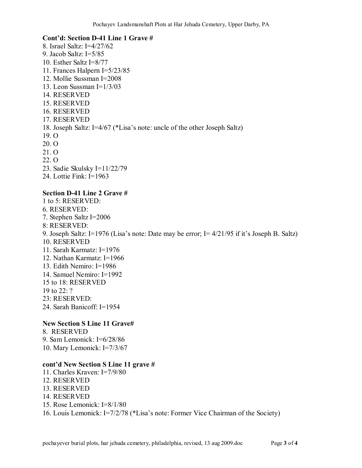#### Cont'd: Section D-41 Line 1 Grave #

8. Israel Saltz: I=4/27/62 9. Jacob Saltz: I=5/85 10. Esther Saltz I=8/77 11. Frances Halpern I=5/23/85 12. Mollie Sussman I=2008 13. Leon Sussman I=1/3/03 14. RESERVED 15. RESERVED 16. RESERVED 17. RESERVED 18. Joseph Saltz: I=4/67 (\*Lisa's note: uncle of the other Joseph Saltz) 19. O 20. O 21. O 22. O 23. Sadie Skulsky I=11/22/79 24. Lottie Fink: I=1963

# Section D-41 Line 2 Grave #

- 1 to 5: RESERVED:
- 6. RESERVED:
- 7. Stephen Saltz I=2006 8: RESERVED:
- 
- 9. Joseph Saltz: I=1976 (Lisa's note: Date may be error; I= 4/21/95 if it's Joseph B. Saltz)
- 10. RESERVED
- 11. Sarah Karmatz: I=1976
- 12. Nathan Karmatz: I=1966
- 13. Edith Nemiro: I=1986
- 14. Samuel Nemiro: I=1992
- 15 to 18: RESERVED
- 19 to 22: ?
- 23: RESERVED:
- 24. Sarah Banicoff: I=1954

## New Section S Line 11 Grave#

8. RESERVED 9. Sam Lemonick: I=6/28/86 10. Mary Lemonick: I=7/3/67

#### cont'd New Section S Line 11 grave #

11. Charles Kraven: I=7/9/80 12. RESERVED 13. RESERVED 14. RESERVED 15. Rose Lemonick: I=8/1/80 16. Louis Lemonick: I=7/2/78 (\*Lisa's note: Former Vice Chairman of the Society)